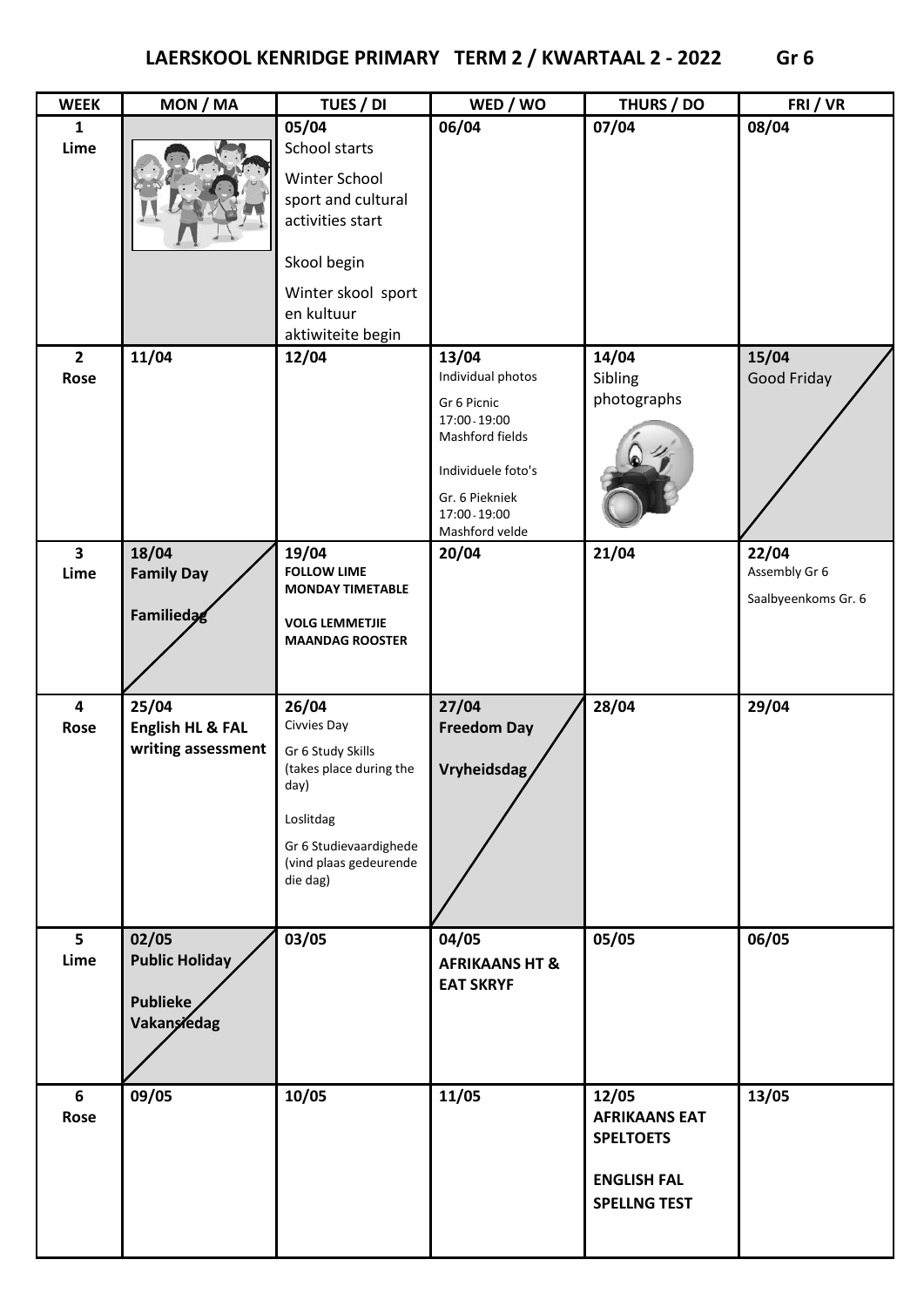| <b>WEEK</b>                     | MON / MA                                                 | TUES / DI                                                                                                                                                 | WED / WO                                                                                                                                                 | THURS / DO                                                                                     | FRI / VR                                      |
|---------------------------------|----------------------------------------------------------|-----------------------------------------------------------------------------------------------------------------------------------------------------------|----------------------------------------------------------------------------------------------------------------------------------------------------------|------------------------------------------------------------------------------------------------|-----------------------------------------------|
| $\mathbf{1}$<br>Lime            |                                                          | 05/04<br>School starts<br>Winter School<br>sport and cultural<br>activities start<br>Skool begin<br>Winter skool sport<br>en kultuur<br>aktiwiteite begin | 06/04                                                                                                                                                    | 07/04                                                                                          | 08/04                                         |
| $\overline{2}$<br>Rose          | 11/04                                                    | 12/04                                                                                                                                                     | 13/04<br>Individual photos<br>Gr 6 Picnic<br>17:00 - 19:00<br>Mashford fields<br>Individuele foto's<br>Gr. 6 Piekniek<br>17:00 - 19:00<br>Mashford velde | 14/04<br>Sibling<br>photographs                                                                | 15/04<br>Good Friday                          |
| $\overline{\mathbf{3}}$<br>Lime | 18/04<br><b>Family Day</b><br>Familiedag                 | 19/04<br><b>FOLLOW LIME</b><br><b>MONDAY TIMETABLE</b><br><b>VOLG LEMMETJIE</b><br><b>MAANDAG ROOSTER</b>                                                 | 20/04                                                                                                                                                    | 21/04                                                                                          | 22/04<br>Assembly Gr 6<br>Saalbyeenkoms Gr. 6 |
| $\overline{\mathbf{4}}$<br>Rose | 25/04<br>English HL & FAL<br>writing assessment          | 26/04<br>Civvies Day<br>Gr 6 Study Skills<br>(takes place during the<br>day)<br>Loslitdag<br>Gr 6 Studievaardighede<br>(vind plaas gedeurende<br>die dag) | 27/04<br><b>Freedom Day</b><br>Vryheidsdag                                                                                                               | 28/04                                                                                          | 29/04                                         |
| 5<br>Lime                       | 02/05<br>Public Holiday<br>Publieke<br><b>Vakansedag</b> | 03/05                                                                                                                                                     | 04/05<br><b>AFRIKAANS HT &amp;</b><br><b>EAT SKRYF</b>                                                                                                   | 05/05                                                                                          | 06/05                                         |
| 6<br>Rose                       | 09/05                                                    | 10/05                                                                                                                                                     | 11/05                                                                                                                                                    | 12/05<br><b>AFRIKAANS EAT</b><br><b>SPELTOETS</b><br><b>ENGLISH FAL</b><br><b>SPELLNG TEST</b> | 13/05                                         |